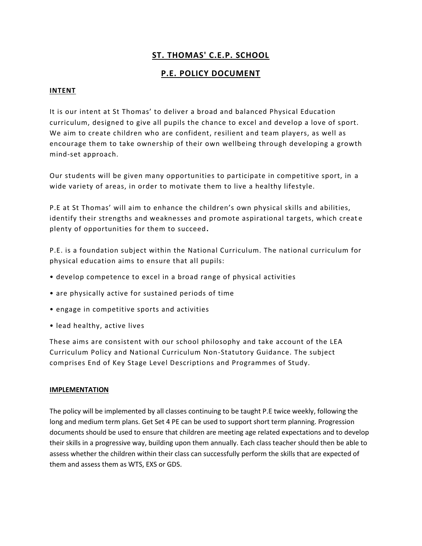# **ST. THOMAS' C.E.P. SCHOOL**

## **P.E. POLICY DOCUMENT**

## **INTENT**

It is our intent at St Thomas' to deliver a broad and balanced Physical Education curriculum, designed to give all pupils the chance to excel and develop a love of sport. We aim to create children who are confident, resilient and team players, as well as encourage them to take ownership of their own wellbeing through developing a growth mind-set approach.

Our students will be given many opportunities to participate in competitive sport, in a wide variety of areas, in order to motivate them to live a healthy lifestyle.

P.E at St Thomas' will aim to enhance the children's own physical skills and abilities, identify their strengths and weaknesses and promote aspirational targets, which creat e plenty of opportunities for them to succeed**.**

P.E. is a foundation subject within the National Curriculum. The national curriculum for physical education aims to ensure that all pupils:

- develop competence to excel in a broad range of physical activities
- are physically active for sustained periods of time
- engage in competitive sports and activities
- lead healthy, active lives

These aims are consistent with our school philosophy and take account of the LEA Curriculum Policy and National Curriculum Non-Statutory Guidance. The subject comprises End of Key Stage Level Descriptions and Programmes of Study.

#### **IMPLEMENTATION**

The policy will be implemented by all classes continuing to be taught P.E twice weekly, following the long and medium term plans. Get Set 4 PE can be used to support short term planning. Progression documents should be used to ensure that children are meeting age related expectations and to develop their skills in a progressive way, building upon them annually. Each class teacher should then be able to assess whether the children within their class can successfully perform the skills that are expected of them and assess them as WTS, EXS or GDS.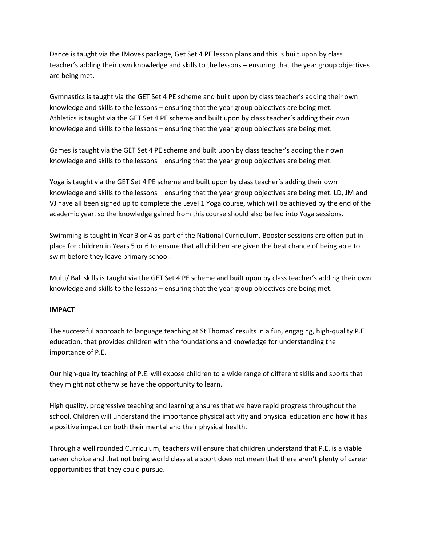Dance is taught via the IMoves package, Get Set 4 PE lesson plans and this is built upon by class teacher's adding their own knowledge and skills to the lessons – ensuring that the year group objectives are being met.

Gymnastics is taught via the GET Set 4 PE scheme and built upon by class teacher's adding their own knowledge and skills to the lessons – ensuring that the year group objectives are being met. Athletics is taught via the GET Set 4 PE scheme and built upon by class teacher's adding their own knowledge and skills to the lessons – ensuring that the year group objectives are being met.

Games is taught via the GET Set 4 PE scheme and built upon by class teacher's adding their own knowledge and skills to the lessons – ensuring that the year group objectives are being met.

Yoga is taught via the GET Set 4 PE scheme and built upon by class teacher's adding their own knowledge and skills to the lessons – ensuring that the year group objectives are being met. LD, JM and VJ have all been signed up to complete the Level 1 Yoga course, which will be achieved by the end of the academic year, so the knowledge gained from this course should also be fed into Yoga sessions.

Swimming is taught in Year 3 or 4 as part of the National Curriculum. Booster sessions are often put in place for children in Years 5 or 6 to ensure that all children are given the best chance of being able to swim before they leave primary school.

Multi/ Ball skills is taught via the GET Set 4 PE scheme and built upon by class teacher's adding their own knowledge and skills to the lessons – ensuring that the year group objectives are being met.

#### **IMPACT**

The successful approach to language teaching at St Thomas' results in a fun, engaging, high-quality P.E education, that provides children with the foundations and knowledge for understanding the importance of P.E.

Our high-quality teaching of P.E. will expose children to a wide range of different skills and sports that they might not otherwise have the opportunity to learn.

High quality, progressive teaching and learning ensures that we have rapid progress throughout the school. Children will understand the importance physical activity and physical education and how it has a positive impact on both their mental and their physical health.

Through a well rounded Curriculum, teachers will ensure that children understand that P.E. is a viable career choice and that not being world class at a sport does not mean that there aren't plenty of career opportunities that they could pursue.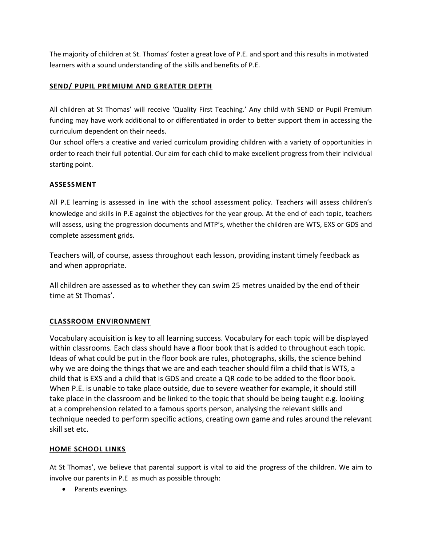The majority of children at St. Thomas' foster a great love of P.E. and sport and this results in motivated learners with a sound understanding of the skills and benefits of P.E.

## **SEND/ PUPIL PREMIUM AND GREATER DEPTH**

All children at St Thomas' will receive 'Quality First Teaching.' Any child with SEND or Pupil Premium funding may have work additional to or differentiated in order to better support them in accessing the curriculum dependent on their needs.

Our school offers a creative and varied curriculum providing children with a variety of opportunities in order to reach their full potential. Our aim for each child to make excellent progress from their individual starting point.

## **ASSESSMENT**

All P.E learning is assessed in line with the school assessment policy. Teachers will assess children's knowledge and skills in P.E against the objectives for the year group. At the end of each topic, teachers will assess, using the progression documents and MTP's, whether the children are WTS, EXS or GDS and complete assessment grids.

Teachers will, of course, assess throughout each lesson, providing instant timely feedback as and when appropriate.

All children are assessed as to whether they can swim 25 metres unaided by the end of their time at St Thomas'.

## **CLASSROOM ENVIRONMENT**

Vocabulary acquisition is key to all learning success. Vocabulary for each topic will be displayed within classrooms. Each class should have a floor book that is added to throughout each topic. Ideas of what could be put in the floor book are rules, photographs, skills, the science behind why we are doing the things that we are and each teacher should film a child that is WTS, a child that is EXS and a child that is GDS and create a QR code to be added to the floor book. When P.E. is unable to take place outside, due to severe weather for example, it should still take place in the classroom and be linked to the topic that should be being taught e.g. looking at a comprehension related to a famous sports person, analysing the relevant skills and technique needed to perform specific actions, creating own game and rules around the relevant skill set etc.

## **HOME SCHOOL LINKS**

At St Thomas', we believe that parental support is vital to aid the progress of the children. We aim to involve our parents in P.E as much as possible through:

• Parents evenings